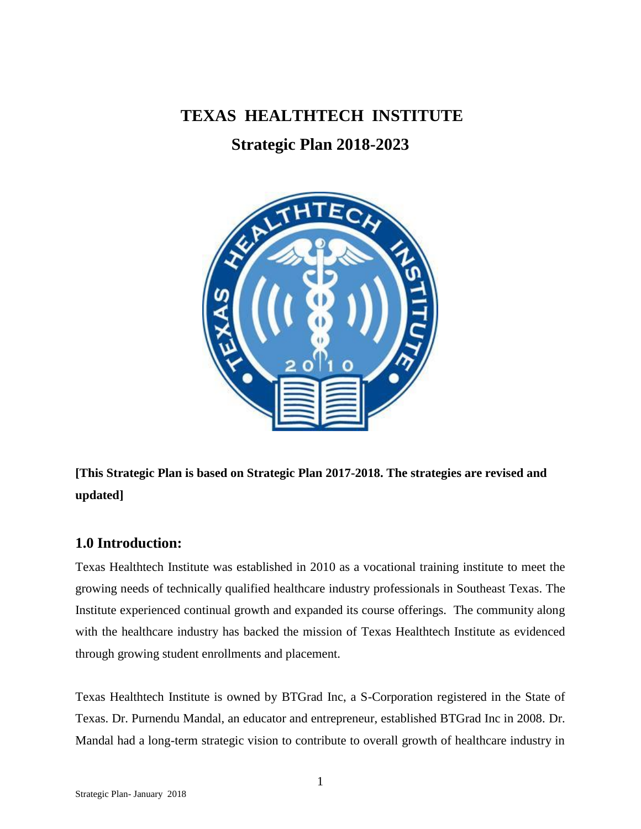**TEXAS HEALTHTECH INSTITUTE**

**Strategic Plan 2018-2023**



**[This Strategic Plan is based on Strategic Plan 2017-2018. The strategies are revised and updated]**

# **1.0 Introduction:**

Texas Healthtech Institute was established in 2010 as a vocational training institute to meet the growing needs of technically qualified healthcare industry professionals in Southeast Texas. The Institute experienced continual growth and expanded its course offerings. The community along with the healthcare industry has backed the mission of Texas Healthtech Institute as evidenced through growing student enrollments and placement.

Texas Healthtech Institute is owned by BTGrad Inc, a S-Corporation registered in the State of Texas. Dr. Purnendu Mandal, an educator and entrepreneur, established BTGrad Inc in 2008. Dr. Mandal had a long-term strategic vision to contribute to overall growth of healthcare industry in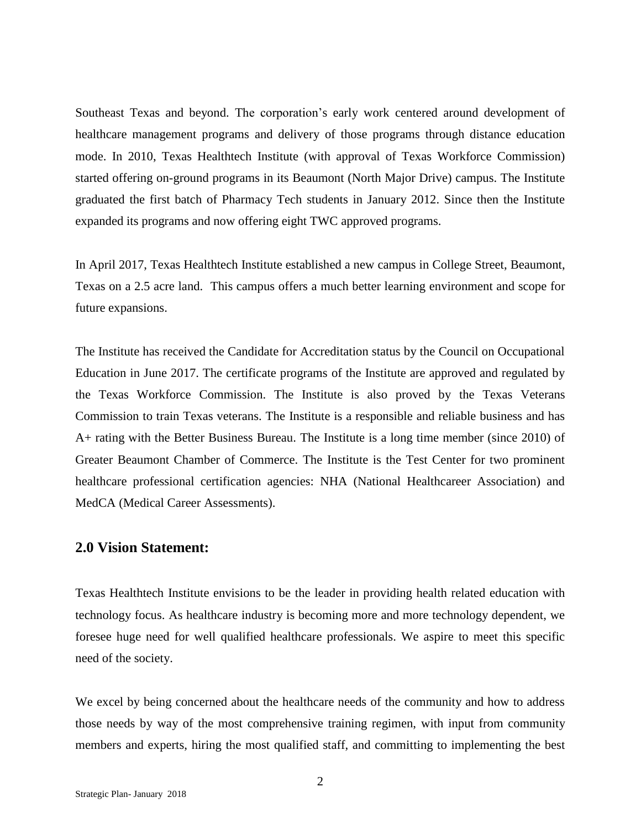Southeast Texas and beyond. The corporation's early work centered around development of healthcare management programs and delivery of those programs through distance education mode. In 2010, Texas Healthtech Institute (with approval of Texas Workforce Commission) started offering on-ground programs in its Beaumont (North Major Drive) campus. The Institute graduated the first batch of Pharmacy Tech students in January 2012. Since then the Institute expanded its programs and now offering eight TWC approved programs.

In April 2017, Texas Healthtech Institute established a new campus in College Street, Beaumont, Texas on a 2.5 acre land. This campus offers a much better learning environment and scope for future expansions.

The Institute has received the Candidate for Accreditation status by the Council on Occupational Education in June 2017. The certificate programs of the Institute are approved and regulated by the Texas Workforce Commission. The Institute is also proved by the Texas Veterans Commission to train Texas veterans. The Institute is a responsible and reliable business and has A+ rating with the Better Business Bureau. The Institute is a long time member (since 2010) of Greater Beaumont Chamber of Commerce. The Institute is the Test Center for two prominent healthcare professional certification agencies: NHA (National Healthcareer Association) and MedCA (Medical Career Assessments).

# **2.0 Vision Statement:**

Texas Healthtech Institute envisions to be the leader in providing health related education with technology focus. As healthcare industry is becoming more and more technology dependent, we foresee huge need for well qualified healthcare professionals. We aspire to meet this specific need of the society.

We excel by being concerned about the healthcare needs of the community and how to address those needs by way of the most comprehensive training regimen, with input from community members and experts, hiring the most qualified staff, and committing to implementing the best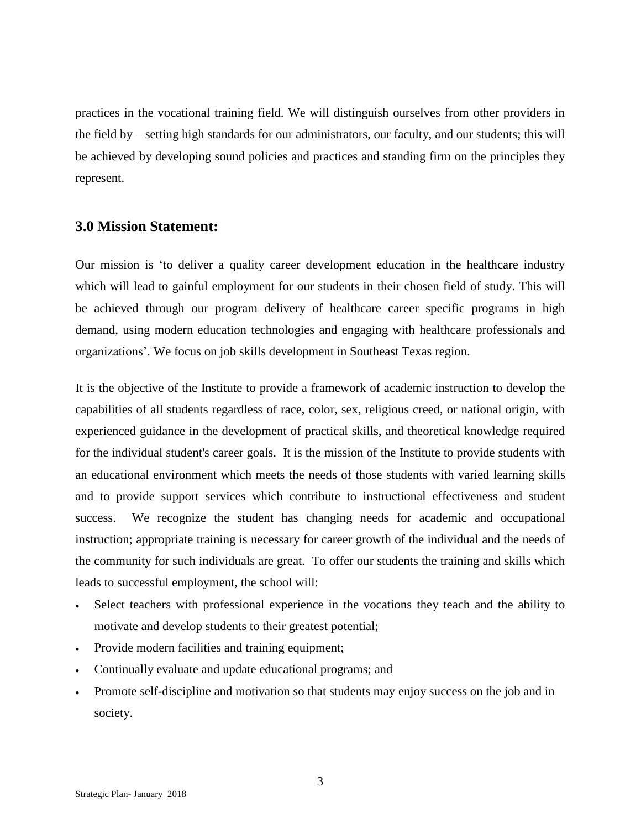practices in the vocational training field. We will distinguish ourselves from other providers in the field by – setting high standards for our administrators, our faculty, and our students; this will be achieved by developing sound policies and practices and standing firm on the principles they represent.

## **3.0 Mission Statement:**

Our mission is 'to deliver a quality career development education in the healthcare industry which will lead to gainful employment for our students in their chosen field of study. This will be achieved through our program delivery of healthcare career specific programs in high demand, using modern education technologies and engaging with healthcare professionals and organizations'. We focus on job skills development in Southeast Texas region.

It is the objective of the Institute to provide a framework of academic instruction to develop the capabilities of all students regardless of race, color, sex, religious creed, or national origin, with experienced guidance in the development of practical skills, and theoretical knowledge required for the individual student's career goals. It is the mission of the Institute to provide students with an educational environment which meets the needs of those students with varied learning skills and to provide support services which contribute to instructional effectiveness and student success. We recognize the student has changing needs for academic and occupational instruction; appropriate training is necessary for career growth of the individual and the needs of the community for such individuals are great. To offer our students the training and skills which leads to successful employment, the school will:

- Select teachers with professional experience in the vocations they teach and the ability to motivate and develop students to their greatest potential;
- Provide modern facilities and training equipment;
- Continually evaluate and update educational programs; and
- Promote self-discipline and motivation so that students may enjoy success on the job and in society.

3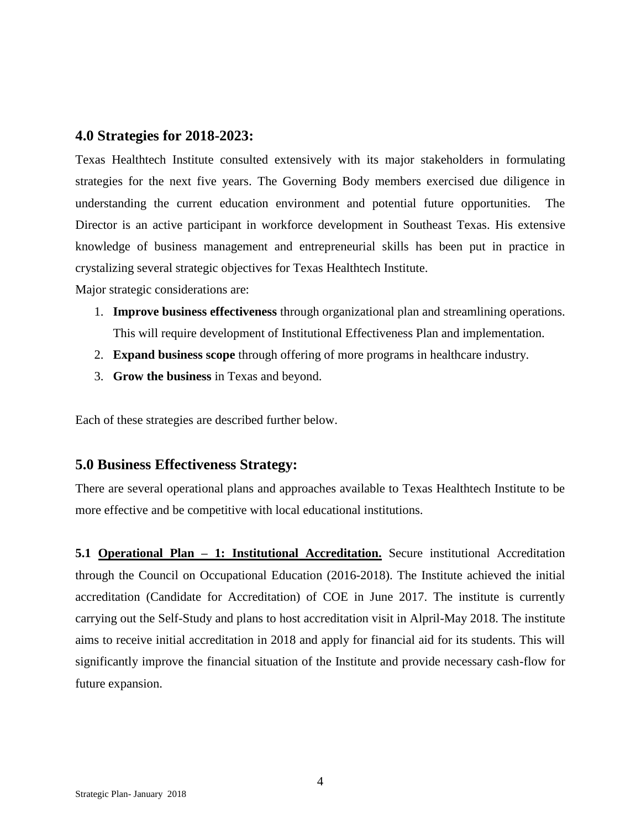# **4.0 Strategies for 2018-2023:**

Texas Healthtech Institute consulted extensively with its major stakeholders in formulating strategies for the next five years. The Governing Body members exercised due diligence in understanding the current education environment and potential future opportunities. The Director is an active participant in workforce development in Southeast Texas. His extensive knowledge of business management and entrepreneurial skills has been put in practice in crystalizing several strategic objectives for Texas Healthtech Institute.

Major strategic considerations are:

- 1. **Improve business effectiveness** through organizational plan and streamlining operations. This will require development of Institutional Effectiveness Plan and implementation.
- 2. **Expand business scope** through offering of more programs in healthcare industry.
- 3. **Grow the business** in Texas and beyond.

Each of these strategies are described further below.

# **5.0 Business Effectiveness Strategy:**

There are several operational plans and approaches available to Texas Healthtech Institute to be more effective and be competitive with local educational institutions.

**5.1 Operational Plan – 1: Institutional Accreditation.** Secure institutional Accreditation through the Council on Occupational Education (2016-2018). The Institute achieved the initial accreditation (Candidate for Accreditation) of COE in June 2017. The institute is currently carrying out the Self-Study and plans to host accreditation visit in Alpril-May 2018. The institute aims to receive initial accreditation in 2018 and apply for financial aid for its students. This will significantly improve the financial situation of the Institute and provide necessary cash-flow for future expansion.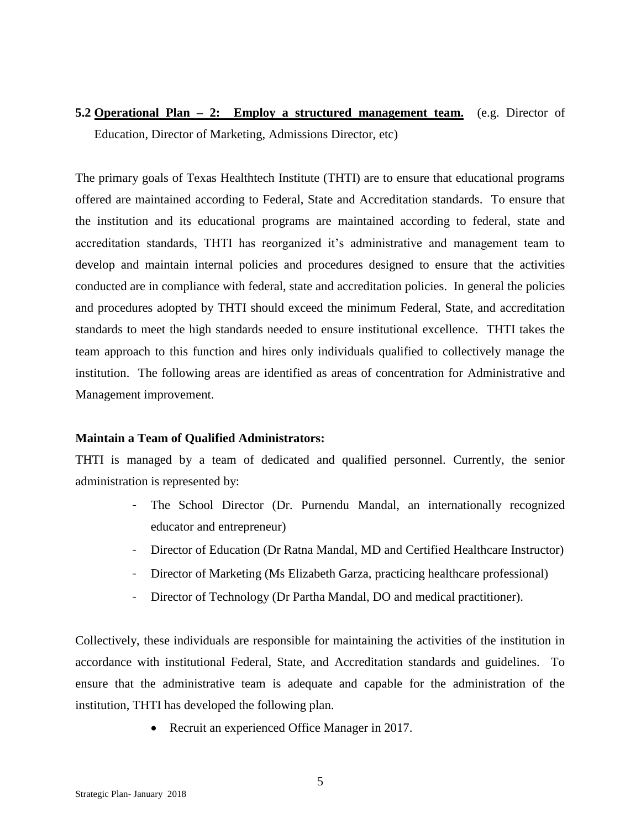**5.2 Operational Plan – 2: Employ a structured management team.** (e.g. Director of Education, Director of Marketing, Admissions Director, etc)

The primary goals of Texas Healthtech Institute (THTI) are to ensure that educational programs offered are maintained according to Federal, State and Accreditation standards. To ensure that the institution and its educational programs are maintained according to federal, state and accreditation standards, THTI has reorganized it's administrative and management team to develop and maintain internal policies and procedures designed to ensure that the activities conducted are in compliance with federal, state and accreditation policies. In general the policies and procedures adopted by THTI should exceed the minimum Federal, State, and accreditation standards to meet the high standards needed to ensure institutional excellence. THTI takes the team approach to this function and hires only individuals qualified to collectively manage the institution. The following areas are identified as areas of concentration for Administrative and Management improvement.

#### **Maintain a Team of Qualified Administrators:**

THTI is managed by a team of dedicated and qualified personnel. Currently, the senior administration is represented by:

- The School Director (Dr. Purnendu Mandal, an internationally recognized educator and entrepreneur)
- Director of Education (Dr Ratna Mandal, MD and Certified Healthcare Instructor)
- Director of Marketing (Ms Elizabeth Garza, practicing healthcare professional)
- Director of Technology (Dr Partha Mandal, DO and medical practitioner).

Collectively, these individuals are responsible for maintaining the activities of the institution in accordance with institutional Federal, State, and Accreditation standards and guidelines. To ensure that the administrative team is adequate and capable for the administration of the institution, THTI has developed the following plan.

• Recruit an experienced Office Manager in 2017.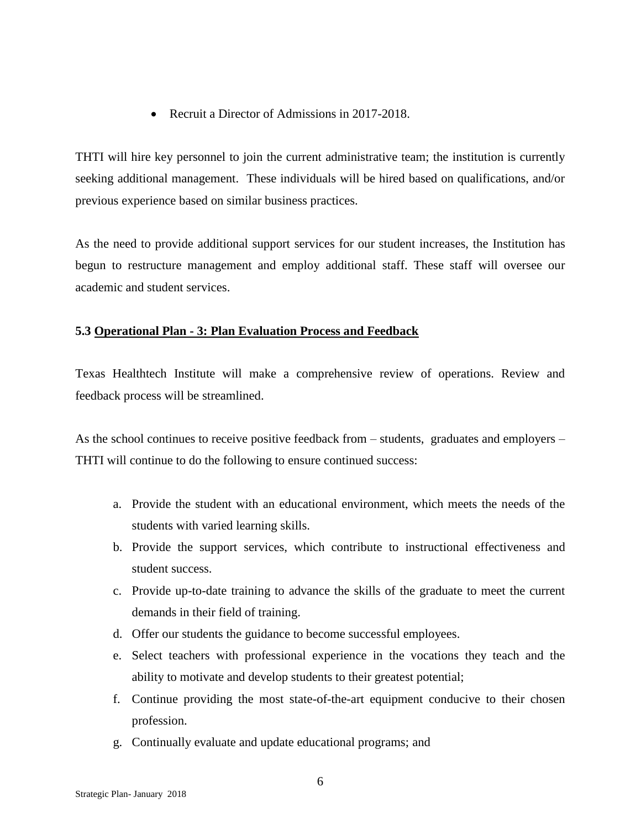• Recruit a Director of Admissions in 2017-2018.

THTI will hire key personnel to join the current administrative team; the institution is currently seeking additional management. These individuals will be hired based on qualifications, and/or previous experience based on similar business practices.

As the need to provide additional support services for our student increases, the Institution has begun to restructure management and employ additional staff. These staff will oversee our academic and student services.

### **5.3 Operational Plan - 3: Plan Evaluation Process and Feedback**

Texas Healthtech Institute will make a comprehensive review of operations. Review and feedback process will be streamlined.

As the school continues to receive positive feedback from – students, graduates and employers – THTI will continue to do the following to ensure continued success:

- a. Provide the student with an educational environment, which meets the needs of the students with varied learning skills.
- b. Provide the support services, which contribute to instructional effectiveness and student success.
- c. Provide up-to-date training to advance the skills of the graduate to meet the current demands in their field of training.
- d. Offer our students the guidance to become successful employees.
- e. Select teachers with professional experience in the vocations they teach and the ability to motivate and develop students to their greatest potential;
- f. Continue providing the most state-of-the-art equipment conducive to their chosen profession.
- g. Continually evaluate and update educational programs; and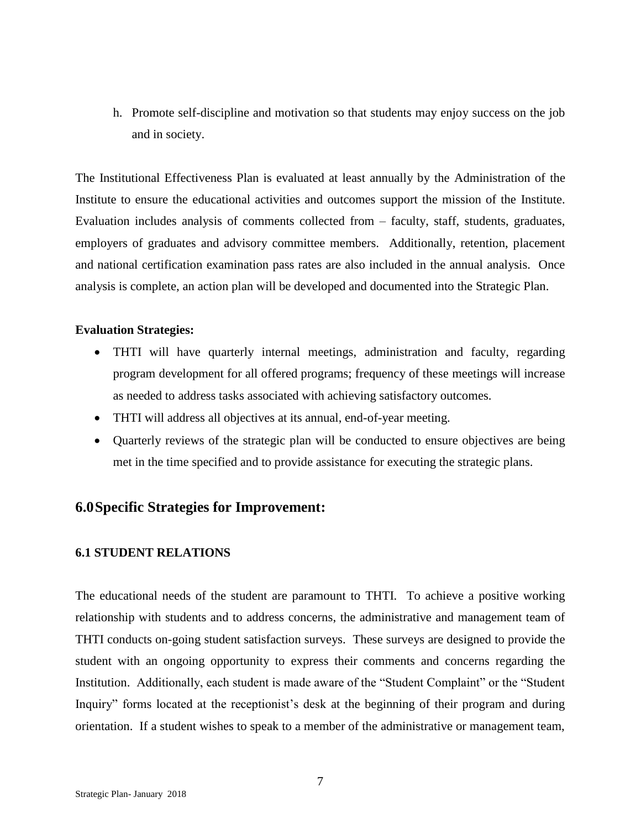h. Promote self-discipline and motivation so that students may enjoy success on the job and in society.

The Institutional Effectiveness Plan is evaluated at least annually by the Administration of the Institute to ensure the educational activities and outcomes support the mission of the Institute. Evaluation includes analysis of comments collected from – faculty, staff, students, graduates, employers of graduates and advisory committee members. Additionally, retention, placement and national certification examination pass rates are also included in the annual analysis. Once analysis is complete, an action plan will be developed and documented into the Strategic Plan.

#### **Evaluation Strategies:**

- THTI will have quarterly internal meetings, administration and faculty, regarding program development for all offered programs; frequency of these meetings will increase as needed to address tasks associated with achieving satisfactory outcomes.
- THTI will address all objectives at its annual, end-of-year meeting.
- Quarterly reviews of the strategic plan will be conducted to ensure objectives are being met in the time specified and to provide assistance for executing the strategic plans.

# **6.0Specific Strategies for Improvement:**

#### **6.1 STUDENT RELATIONS**

The educational needs of the student are paramount to THTI. To achieve a positive working relationship with students and to address concerns, the administrative and management team of THTI conducts on-going student satisfaction surveys. These surveys are designed to provide the student with an ongoing opportunity to express their comments and concerns regarding the Institution. Additionally, each student is made aware of the "Student Complaint" or the "Student Inquiry" forms located at the receptionist's desk at the beginning of their program and during orientation. If a student wishes to speak to a member of the administrative or management team,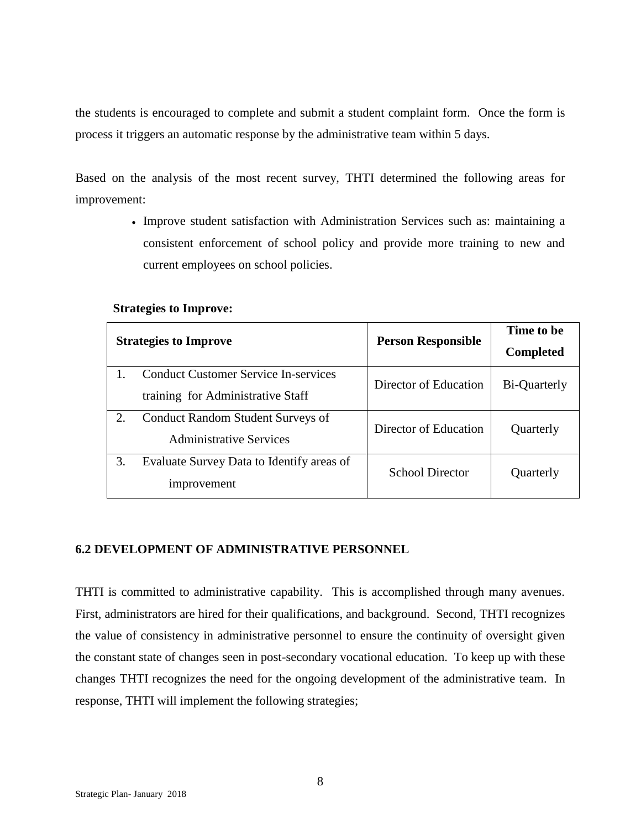the students is encouraged to complete and submit a student complaint form. Once the form is process it triggers an automatic response by the administrative team within 5 days.

Based on the analysis of the most recent survey, THTI determined the following areas for improvement:

> Improve student satisfaction with Administration Services such as: maintaining a consistent enforcement of school policy and provide more training to new and current employees on school policies.

#### **Strategies to Improve:**

| <b>Strategies to Improve</b> |                                                                                  | <b>Person Responsible</b> | Time to be<br><b>Completed</b> |
|------------------------------|----------------------------------------------------------------------------------|---------------------------|--------------------------------|
|                              | <b>Conduct Customer Service In-services</b><br>training for Administrative Staff | Director of Education     | Bi-Quarterly                   |
| 2.                           | <b>Conduct Random Student Surveys of</b><br><b>Administrative Services</b>       | Director of Education     | Quarterly                      |
| 3.                           | Evaluate Survey Data to Identify areas of<br>improvement                         | <b>School Director</b>    | Quarterly                      |

#### **6.2 DEVELOPMENT OF ADMINISTRATIVE PERSONNEL**

THTI is committed to administrative capability. This is accomplished through many avenues. First, administrators are hired for their qualifications, and background. Second, THTI recognizes the value of consistency in administrative personnel to ensure the continuity of oversight given the constant state of changes seen in post-secondary vocational education. To keep up with these changes THTI recognizes the need for the ongoing development of the administrative team. In response, THTI will implement the following strategies;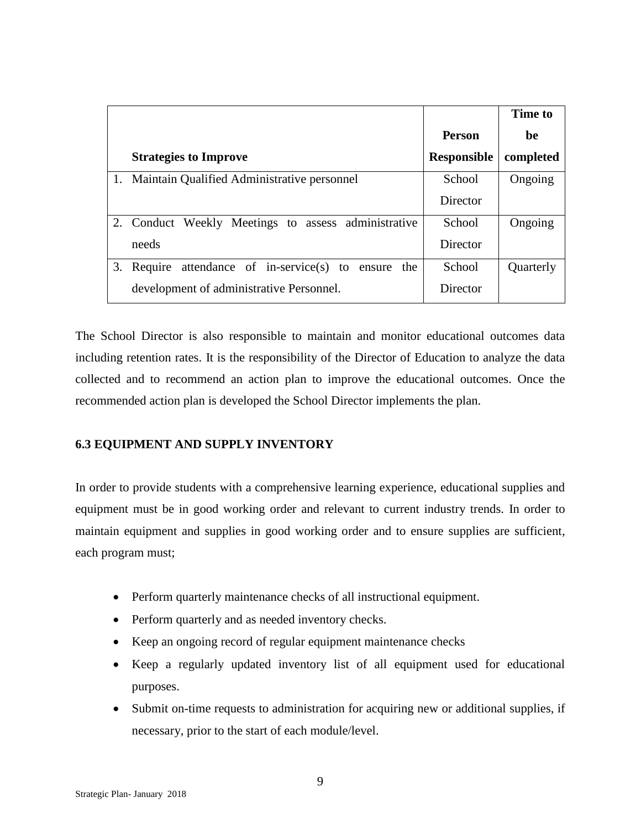|    |                                                      |                    | Time to   |
|----|------------------------------------------------------|--------------------|-----------|
|    |                                                      | <b>Person</b>      | be        |
|    | <b>Strategies to Improve</b>                         | <b>Responsible</b> | completed |
|    | 1. Maintain Qualified Administrative personnel       | School             | Ongoing   |
|    |                                                      | Director           |           |
|    | 2. Conduct Weekly Meetings to assess administrative  | School             | Ongoing   |
|    | needs                                                | Director           |           |
| 3. | Require attendance of in-service(s) to ensure<br>the | School             | Quarterly |
|    | development of administrative Personnel.             | Director           |           |

The School Director is also responsible to maintain and monitor educational outcomes data including retention rates. It is the responsibility of the Director of Education to analyze the data collected and to recommend an action plan to improve the educational outcomes. Once the recommended action plan is developed the School Director implements the plan.

# **6.3 EQUIPMENT AND SUPPLY INVENTORY**

In order to provide students with a comprehensive learning experience, educational supplies and equipment must be in good working order and relevant to current industry trends. In order to maintain equipment and supplies in good working order and to ensure supplies are sufficient, each program must;

- Perform quarterly maintenance checks of all instructional equipment.
- Perform quarterly and as needed inventory checks.
- Keep an ongoing record of regular equipment maintenance checks
- Keep a regularly updated inventory list of all equipment used for educational purposes.
- Submit on-time requests to administration for acquiring new or additional supplies, if necessary, prior to the start of each module/level.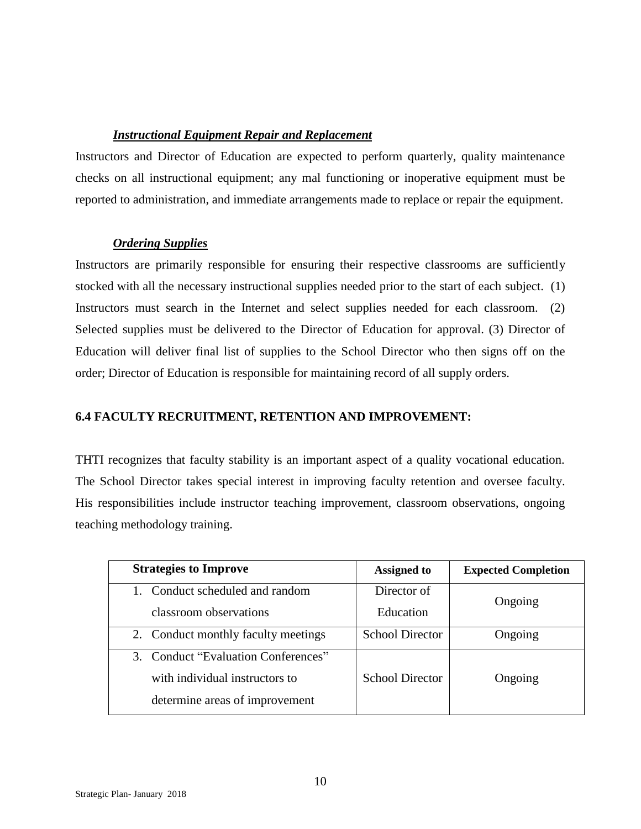### *Instructional Equipment Repair and Replacement*

Instructors and Director of Education are expected to perform quarterly, quality maintenance checks on all instructional equipment; any mal functioning or inoperative equipment must be reported to administration, and immediate arrangements made to replace or repair the equipment.

### *Ordering Supplies*

Instructors are primarily responsible for ensuring their respective classrooms are sufficiently stocked with all the necessary instructional supplies needed prior to the start of each subject. (1) Instructors must search in the Internet and select supplies needed for each classroom. (2) Selected supplies must be delivered to the Director of Education for approval. (3) Director of Education will deliver final list of supplies to the School Director who then signs off on the order; Director of Education is responsible for maintaining record of all supply orders.

# **6.4 FACULTY RECRUITMENT, RETENTION AND IMPROVEMENT:**

THTI recognizes that faculty stability is an important aspect of a quality vocational education. The School Director takes special interest in improving faculty retention and oversee faculty. His responsibilities include instructor teaching improvement, classroom observations, ongoing teaching methodology training.

| <b>Strategies to Improve</b>        | <b>Assigned to</b>     | <b>Expected Completion</b> |
|-------------------------------------|------------------------|----------------------------|
| Conduct scheduled and random        | Director of            |                            |
| classroom observations              | Education              | Ongoing                    |
| 2. Conduct monthly faculty meetings | <b>School Director</b> | Ongoing                    |
| 3. Conduct "Evaluation Conferences" |                        |                            |
| with individual instructors to      | <b>School Director</b> | Ongoing                    |
| determine areas of improvement      |                        |                            |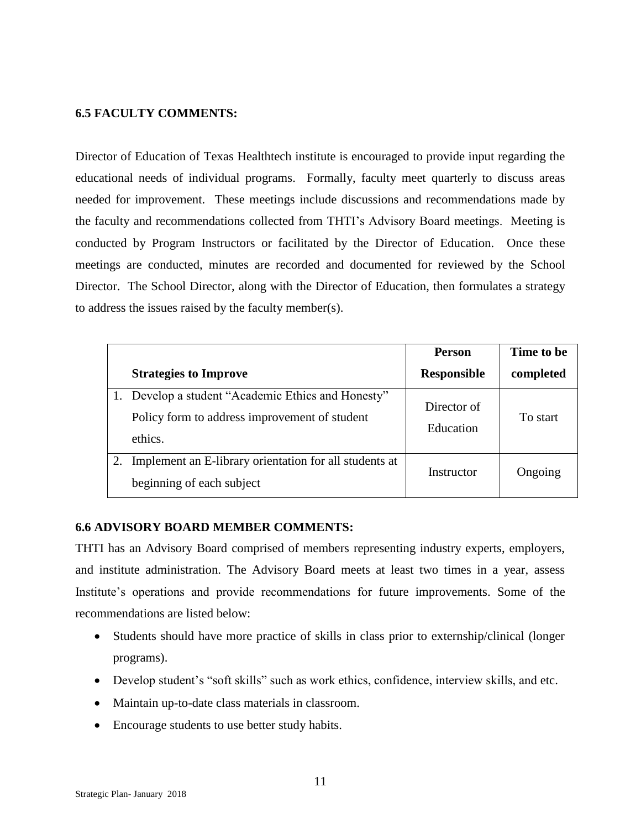#### **6.5 FACULTY COMMENTS:**

Director of Education of Texas Healthtech institute is encouraged to provide input regarding the educational needs of individual programs. Formally, faculty meet quarterly to discuss areas needed for improvement. These meetings include discussions and recommendations made by the faculty and recommendations collected from THTI's Advisory Board meetings. Meeting is conducted by Program Instructors or facilitated by the Director of Education. Once these meetings are conducted, minutes are recorded and documented for reviewed by the School Director. The School Director, along with the Director of Education, then formulates a strategy to address the issues raised by the faculty member(s).

|    |                                                        | <b>Person</b>      | Time to be |
|----|--------------------------------------------------------|--------------------|------------|
|    | <b>Strategies to Improve</b>                           | <b>Responsible</b> | completed  |
|    | 1. Develop a student "Academic Ethics and Honesty"     | Director of        |            |
|    | Policy form to address improvement of student          |                    | To start   |
|    | ethics.                                                | Education          |            |
| 2. | Implement an E-library orientation for all students at | Instructor         | Ongoing    |
|    | beginning of each subject                              |                    |            |

#### **6.6 ADVISORY BOARD MEMBER COMMENTS:**

THTI has an Advisory Board comprised of members representing industry experts, employers, and institute administration. The Advisory Board meets at least two times in a year, assess Institute's operations and provide recommendations for future improvements. Some of the recommendations are listed below:

- Students should have more practice of skills in class prior to externship/clinical (longer programs).
- Develop student's "soft skills" such as work ethics, confidence, interview skills, and etc.
- Maintain up-to-date class materials in classroom.
- Encourage students to use better study habits.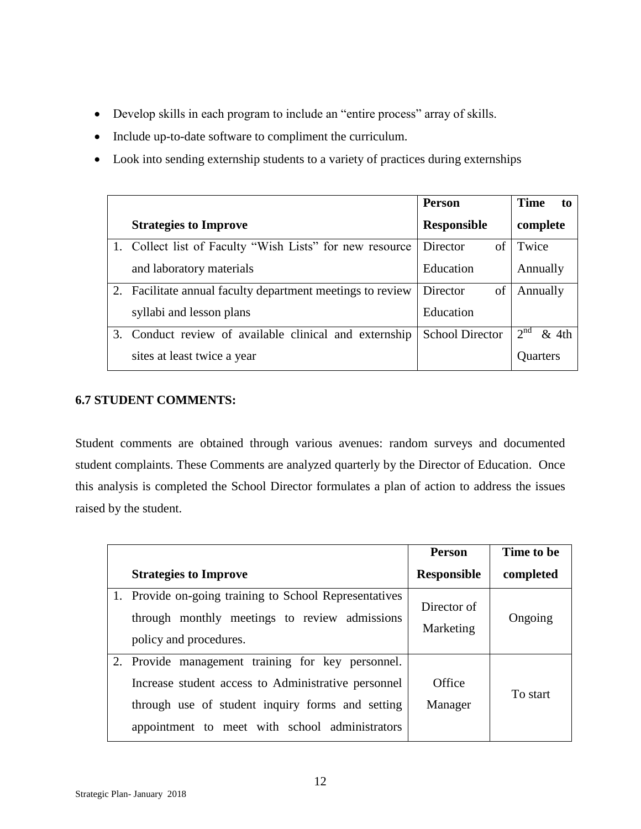- Develop skills in each program to include an "entire process" array of skills.
- Include up-to-date software to compliment the curriculum.
- Look into sending externship students to a variety of practices during externships

|    |                                                            | <b>Person</b>          | Time<br>to               |
|----|------------------------------------------------------------|------------------------|--------------------------|
|    | <b>Strategies to Improve</b>                               | <b>Responsible</b>     | complete                 |
|    | 1. Collect list of Faculty "Wish Lists" for new resource   | Director<br>of         | Twice                    |
|    | and laboratory materials                                   | Education              | Annually                 |
|    | 2. Facilitate annual faculty department meetings to review | Director<br>of         | Annually                 |
|    | syllabi and lesson plans                                   | Education              |                          |
| 3. | Conduct review of available clinical and externship        | <b>School Director</b> | 2 <sup>nd</sup><br>& 4th |
|    | sites at least twice a year                                |                        | <b>Quarters</b>          |

# **6.7 STUDENT COMMENTS:**

Student comments are obtained through various avenues: random surveys and documented student complaints. These Comments are analyzed quarterly by the Director of Education. Once this analysis is completed the School Director formulates a plan of action to address the issues raised by the student.

|                                                                                                                                                                                                                | <b>Person</b>            | Time to be |
|----------------------------------------------------------------------------------------------------------------------------------------------------------------------------------------------------------------|--------------------------|------------|
| <b>Strategies to Improve</b>                                                                                                                                                                                   | <b>Responsible</b>       | completed  |
| 1. Provide on-going training to School Representatives<br>through monthly meetings to review admissions<br>policy and procedures.                                                                              | Director of<br>Marketing | Ongoing    |
| 2. Provide management training for key personnel.<br>Increase student access to Administrative personnel<br>through use of student inquiry forms and setting<br>appointment to meet with school administrators | Office<br>Manager        | To start   |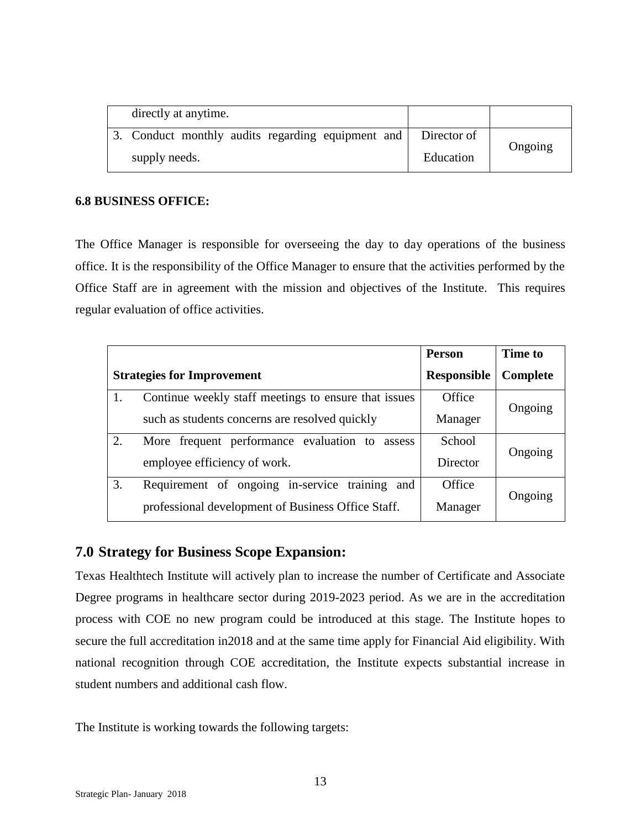| directly at anytime.                                          |           |         |
|---------------------------------------------------------------|-----------|---------|
| 3. Conduct monthly audits regarding equipment and Director of |           |         |
| supply needs.                                                 | Education | Ongoing |

#### **6.8 BUSINESS OFFICE:**

The Office Manager is responsible for overseeing the day to day operations of the business office. It is the responsibility of the Office Manager to ensure that the activities performed by the Office Staff are in agreement with the mission and objectives of the Institute. This requires regular evaluation of office activities.

|                                   |                                                      | Person             | <b>Time to</b> |  |
|-----------------------------------|------------------------------------------------------|--------------------|----------------|--|
| <b>Strategies for Improvement</b> |                                                      | <b>Responsible</b> | Complete       |  |
|                                   | Continue weekly staff meetings to ensure that issues | Office             |                |  |
|                                   | such as students concerns are resolved quickly       | Manager            | Ongoing        |  |
| 2.                                | More frequent performance evaluation to assess       | School             |                |  |
|                                   | employee efficiency of work.                         | Director           | Ongoing        |  |
| 3.                                | Requirement of ongoing in-service training<br>and    | Office             |                |  |
|                                   | professional development of Business Office Staff.   | Manager            | Ongoing        |  |

# **7.0 Strategy for Business Scope Expansion:**

Texas Healthtech Institute will actively plan to increase the number of Certificate and Associate Degree programs in healthcare sector during 2019-2023 period. As we are in the accreditation process with COE no new program could be introduced at this stage. The Institute hopes to secure the full accreditation in2018 and at the same time apply for Financial Aid eligibility. With national recognition through COE accreditation, the Institute expects substantial increase in student numbers and additional cash flow.

The Institute is working towards the following targets: